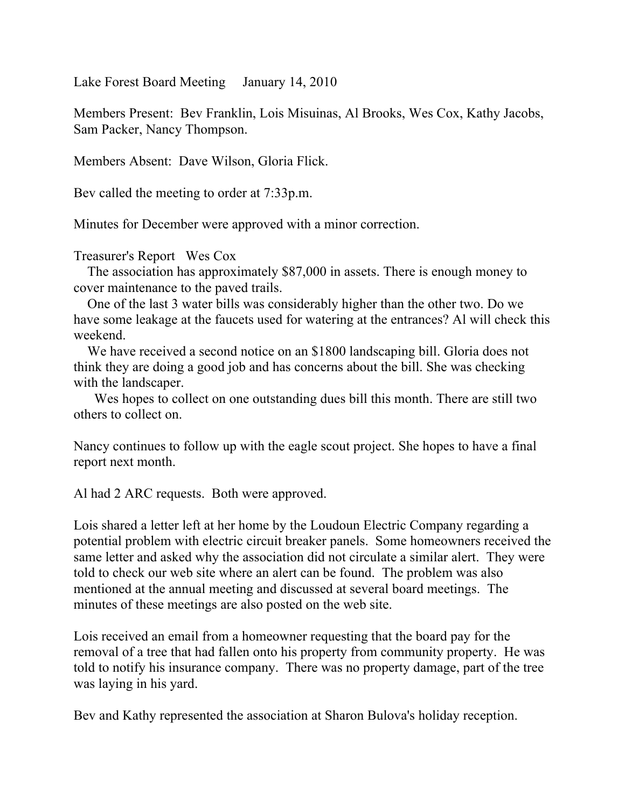Lake Forest Board Meeting January 14, 2010

Members Present: Bev Franklin, Lois Misuinas, Al Brooks, Wes Cox, Kathy Jacobs, Sam Packer, Nancy Thompson.

Members Absent: Dave Wilson, Gloria Flick.

Bev called the meeting to order at 7:33p.m.

Minutes for December were approved with a minor correction.

Treasurer's Report Wes Cox

 The association has approximately \$87,000 in assets. There is enough money to cover maintenance to the paved trails.

 One of the last 3 water bills was considerably higher than the other two. Do we have some leakage at the faucets used for watering at the entrances? Al will check this weekend.

 We have received a second notice on an \$1800 landscaping bill. Gloria does not think they are doing a good job and has concerns about the bill. She was checking with the landscaper.

 Wes hopes to collect on one outstanding dues bill this month. There are still two others to collect on.

Nancy continues to follow up with the eagle scout project. She hopes to have a final report next month.

Al had 2 ARC requests. Both were approved.

Lois shared a letter left at her home by the Loudoun Electric Company regarding a potential problem with electric circuit breaker panels. Some homeowners received the same letter and asked why the association did not circulate a similar alert. They were told to check our web site where an alert can be found. The problem was also mentioned at the annual meeting and discussed at several board meetings. The minutes of these meetings are also posted on the web site.

Lois received an email from a homeowner requesting that the board pay for the removal of a tree that had fallen onto his property from community property. He was told to notify his insurance company. There was no property damage, part of the tree was laying in his yard.

Bev and Kathy represented the association at Sharon Bulova's holiday reception.